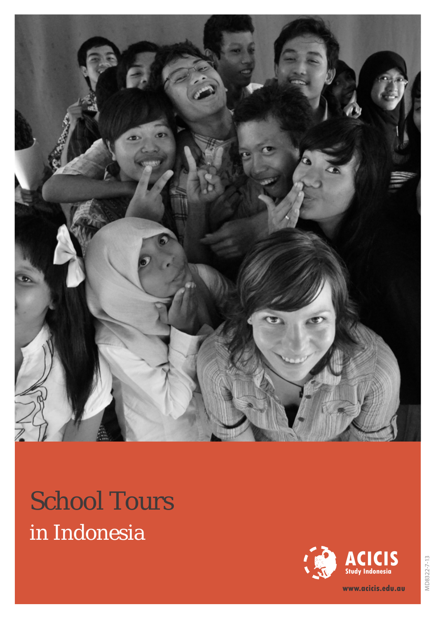

# School Tours in Indonesia



**www.acicis.edu.au**